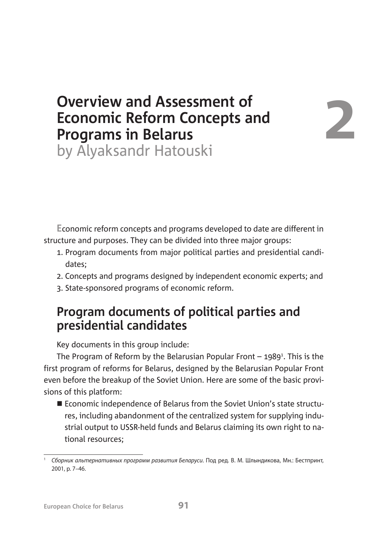## **Overview and Assessment of Economic Reform Concepts and Programs in Belarus**

# **2**

by Alyaksandr Hatouski

**E**conomic reform concepts and programs developed to date are different in structure and purposes. They can be divided into three major groups:

- 1. Program documents from major political parties and presidential candidates;
- 2. Concepts and programs designed by independent economic experts; and
- 3. State-sponsored programs of economic reform.

### **Program documents of political parties and presidential candidates**

Key documents in this group include:

The Program of Reform by the Belarusian Popular Front  $-$  1989<sup>1</sup>. This is the first program of reforms for Belarus, designed by the Belarusian Popular Front even before the breakup of the Soviet Union. Here are some of the basic provisions of this platform:

■ Economic independence of Belarus from the Soviet Union's state structures, including abandonment of the centralized system for supplying industrial output to USSR-held funds and Belarus claiming its own right to national resources;

Сборник альтернативных программ развития Беларуси. Под ред. В. М. Шлындикова, Мн.: Бестпринт, 2001, p. 7–46.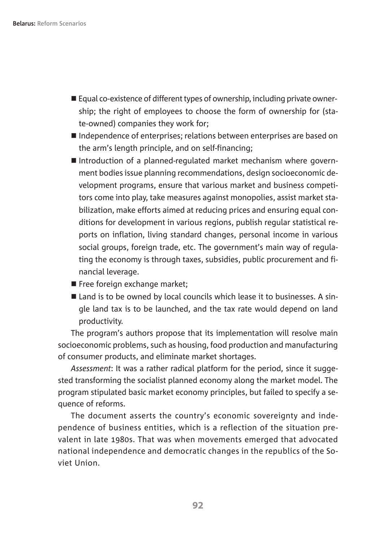- Equal co-existence of different types of ownership, including private ownership; the right of employees to choose the form of ownership for (state-owned) companies they work for;
- Independence of enterprises; relations between enterprises are based on the arm's length principle, and on self-financing;
- Introduction of a planned-regulated market mechanism where government bodies issue planning recommendations, design socioeconomic development programs, ensure that various market and business competitors come into play, take measures against monopolies, assist market stabilization, make efforts aimed at reducing prices and ensuring equal conditions for development in various regions, publish regular statistical reports on inflation, living standard changes, personal income in various social groups, foreign trade, etc. The government's main way of regulating the economy is through taxes, subsidies, public procurement and financial leverage.
- Free foreign exchange market:
- $\blacksquare$  Land is to be owned by local councils which lease it to businesses. A single land tax is to be launched, and the tax rate would depend on land productivity.

The program's authors propose that its implementation will resolve main socioeconomic problems, such as housing, food production and manufacturing of consumer products, and eliminate market shortages.

*Assessment*: It was a rather radical platform for the period, since it suggested transforming the socialist planned economy along the market model. The program stipulated basic market economy principles, but failed to specify a sequence of reforms.

The document asserts the country's economic sovereignty and independence of business entities, which is a reflection of the situation prevalent in late 1980s. That was when movements emerged that advocated national independence and democratic changes in the republics of the Soviet Union.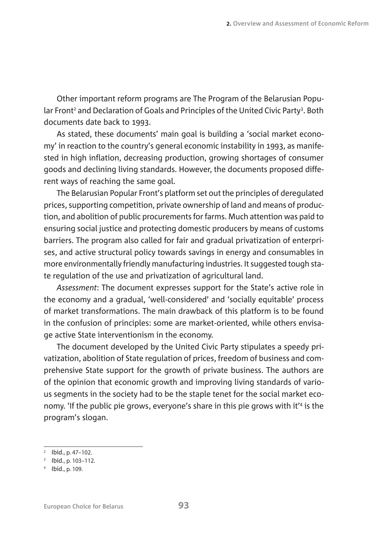Other important reform programs are The Program of the Belarusian Popular Front<sup>2</sup> and Declaration of Goals and Principles of the United Civic Party<sup>3</sup>. Both documents date back to 1993.

As stated, these documents' main goal is building a 'social market economy' in reaction to the country's general economic instability in 1993, as manifested in high inflation, decreasing production, growing shortages of consumer goods and declining living standards. However, the documents proposed different ways of reaching the same goal.

The Belarusian Popular Front's platform set out the principles of deregulated prices, supporting competition, private ownership of land and means of production, and abolition of public procurements for farms. Much attention was paid to ensuring social justice and protecting domestic producers by means of customs barriers. The program also called for fair and gradual privatization of enterprises, and active structural policy towards savings in energy and consumables in more environmentally friendly manufacturing industries. It suggested tough state regulation of the use and privatization of agricultural land.

*Assessment*: The document expresses support for the State's active role in the economy and a gradual, 'well-considered' and 'socially equitable' process of market transformations. The main drawback of this platform is to be found in the confusion of principles: some are market-oriented, while others envisage active State interventionism in the economy.

The document developed by the United Civic Party stipulates a speedy privatization, abolition of State regulation of prices, freedom of business and comprehensive State support for the growth of private business. The authors are of the opinion that economic growth and improving living standards of various segments in the society had to be the staple tenet for the social market economy. 'If the public pie grows, everyone's share in this pie grows with it'4 is the program's slogan.

<sup>&</sup>lt;sup>2</sup> Ibid., p. 47–102.

<sup>3</sup> Ibid., p. 103–112.

<sup>4</sup> Ibid., p. 109.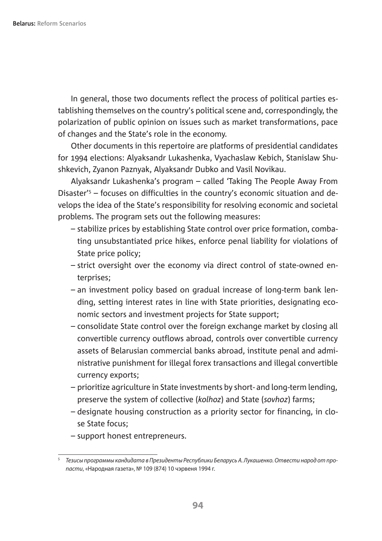In general, those two documents reflect the process of political parties establishing themselves on the country's political scene and, correspondingly, the polarization of public opinion on issues such as market transformations, pace of changes and the State's role in the economy.

Other documents in this repertoire are platforms of presidential candidates for 1994 elections: Alyaksandr Lukashenka, Vyachaslaw Kebich, Stanislaw Shushkevich, Zyanon Paznyak, Alyaksandr Dubko and Vasil Novikau.

Alyaksandr Lukashenka's program – called 'Taking The People Away From Disaster'5 – focuses on difficulties in the country's economic situation and develops the idea of the State's responsibility for resolving economic and societal problems. The program sets out the following measures:

- stabilize prices by establishing State control over price formation, combating unsubstantiated price hikes, enforce penal liability for violations of State price policy;
- strict oversight over the economy via direct control of state-owned enterprises;
- an investment policy based on gradual increase of long-term bank lending, setting interest rates in line with State priorities, designating economic sectors and investment projects for State support;
- consolidate State control over the foreign exchange market by closing all convertible currency outflows abroad, controls over convertible currency assets of Belarusian commercial banks abroad, institute penal and administrative punishment for illegal forex transactions and illegal convertible currency exports;
- prioritize agriculture in State investments by short- and long-term lending, preserve the system of collective (*kolhoz*) and State (*sovhoz*) farms;
- designate housing construction as a priority sector for financing, in close State focus;
- support honest entrepreneurs.

 $5$  Тезисы программы кандидата в Президенты Республики Беларусь А. Лукашенко. Отвести народ от пропасти, «Народная газета», № 109 (874) 10 чэрвеня 1994 г.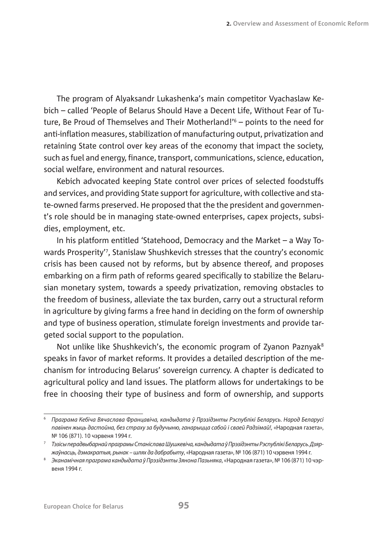The program of Alyaksandr Lukashenka's main competitor Vyachaslaw Kebich – called 'People of Belarus Should Have a Decent Life, Without Fear of Tuture, Be Proud of Themselves and Their Motherland!'6 – points to the need for anti-inflation measures, stabilization of manufacturing output, privatization and retaining State control over key areas of the economy that impact the society, such as fuel and energy, finance, transport, communications, science, education, social welfare, environment and natural resources.

Kebich advocated keeping State control over prices of selected foodstuffs and services, and providing State support for agriculture, with collective and state-owned farms preserved. He proposed that the the president and government's role should be in managing state-owned enterprises, capex projects, subsidies, employment, etc.

In his platform entitled 'Statehood, Democracy and the Market – a Way Towards Prosperity'7 , Stanislaw Shushkevich stresses that the country's economic crisis has been caused not by reforms, but by absence thereof, and proposes embarking on a firm path of reforms geared specifically to stabilize the Belarusian monetary system, towards a speedy privatization, removing obstacles to the freedom of business, alleviate the tax burden, carry out a structural reform in agriculture by giving farms a free hand in deciding on the form of ownership and type of business operation, stimulate foreign investments and provide targeted social support to the population.

Not unlike like Shushkevich's, the economic program of Zyanon Paznyak<sup>8</sup> speaks in favor of market reforms. It provides a detailed description of the mechanism for introducing Belarus' sovereign currency. A chapter is dedicated to agricultural policy and land issues. The platform allows for undertakings to be free in choosing their type of business and form of ownership, and supports

<sup>6</sup> Праграма Кебіча Вячаслава Францавіча, кандыдата ў Прэзідэнты Рэспублікі Беларусь. Народ Беларусі павінен жыць дастойна, без страху за будучыню, ганарыцца сабой і сваей Радзімай!, «Народная газета», No 106 (871). 10 чэрвеня 1994 г.

<sup>7</sup> Тэзісы перадвыбарнай праграмы Станіслава Шушкевіча, кандыдата ў Прэзідэнты Рэспублікі Беларусь. Дзяржаўнасць, дэмакратыя, рынак – шлях да дабрабыту, «Народная газета», № 106 (871) 10 чэрвеня 1994 г.

<sup>&</sup>lt;sup>8</sup> Эканамічная праграма кандыдата ў Прэзідэнты Зянона Пазьняка, «Народная газета», № 106 (871) 10 чэрвеня 1994 г.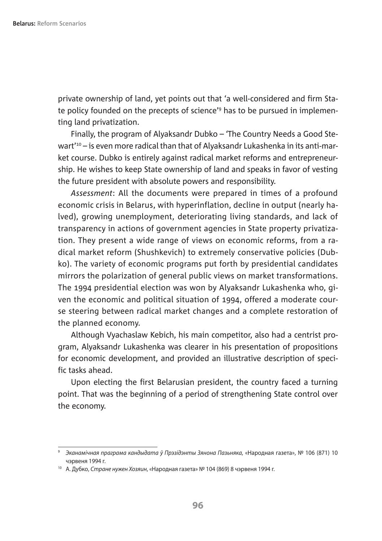private ownership of land, yet points out that 'a well-considered and firm State policy founded on the precepts of science'9 has to be pursued in implementing land privatization.

Finally, the program of Alyaksandr Dubko – 'The Country Needs a Good Stewart'10 – is even more radical than that of Alyaksandr Lukashenka in its anti-market course. Dubko is entirely against radical market reforms and entrepreneurship. He wishes to keep State ownership of land and speaks in favor of vesting the future president with absolute powers and responsibility.

*Assessment*: All the documents were prepared in times of a profound economic crisis in Belarus, with hyperinflation, decline in output (nearly halved), growing unemployment, deteriorating living standards, and lack of transparency in actions of government agencies in State property privatization. They present a wide range of views on economic reforms, from a radical market reform (Shushkevich) to extremely conservative policies (Dubko). The variety of economic programs put forth by presidential candidates mirrors the polarization of general public views on market transformations. The 1994 presidential election was won by Alyaksandr Lukashenka who, given the economic and political situation of 1994, offered a moderate course steering between radical market changes and a complete restoration of the planned economy.

Although Vyachaslaw Kebich, his main competitor, also had a centrist program, Alyaksandr Lukashenka was clearer in his presentation of propositions for economic development, and provided an illustrative description of specific tasks ahead.

Upon electing the first Belarusian president, the country faced a turning point. That was the beginning of a period of strengthening State control over the economy.

<sup>&</sup>lt;sup>9</sup> Эканамічная праграма кандыдата ў Прэзідэнты Зянона Пазьняка, «Народная газета», № 106 (871) 10 чэрвеня 1994 г.

<sup>&</sup>lt;sup>10</sup> А. Дубко, Стране нужен Хозяин, «Народная газета» № 104 (869) 8 чэрвеня 1994 г.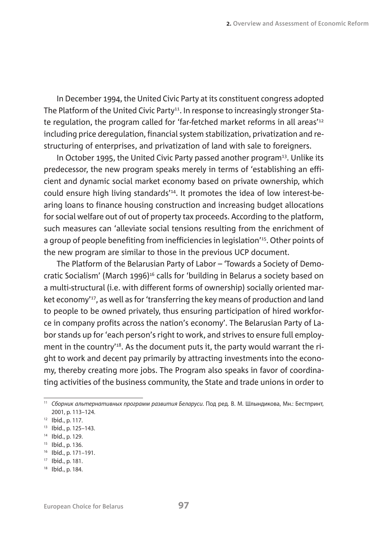In December 1994, the United Civic Party at its constituent congress adopted The Platform of the United Civic Party<sup>11</sup>. In response to increasingly stronger State regulation, the program called for 'far-fetched market reforms in all areas'12 including price deregulation, financial system stabilization, privatization and restructuring of enterprises, and privatization of land with sale to foreigners.

In October 1995, the United Civic Party passed another program<sup>13</sup>. Unlike its predecessor, the new program speaks merely in terms of 'establishing an efficient and dynamic social market economy based on private ownership, which could ensure high living standards'14. It promotes the idea of low interest-bearing loans to finance housing construction and increasing budget allocations for social welfare out of out of property tax proceeds. According to the platform, such measures can 'alleviate social tensions resulting from the enrichment of a group of people benefiting from inefficiencies in legislation'15. Other points of the new program are similar to those in the previous UCP document.

The Platform of the Belarusian Party of Labor – 'Towards a Society of Democratic Socialism' (March 1996)<sup>16</sup> calls for 'building in Belarus a society based on a multi-structural (i.e. with different forms of ownership) socially oriented market economy'<sup>17</sup>, as well as for 'transferring the key means of production and land to people to be owned privately, thus ensuring participation of hired workforce in company profits across the nation's economy'. The Belarusian Party of Labor stands up for 'each person's right to work, and strives to ensure full employment in the country'<sup>18</sup>. As the document puts it, the party would warrant the right to work and decent pay primarily by attracting investments into the economy, thereby creating more jobs. The Program also speaks in favor of coordinating activities of the business community, the State and trade unions in order to

<sup>11</sup> Сборник альтернативных программ развития Беларуси. Под ред. В. М. Шлындикова, Мн.: Бестпринт, 2001, p. 113–124.

<sup>12</sup> Ibid., p. 117.

<sup>13</sup> Ibid., p. 125–143.

<sup>14</sup> Ibid., p. 129.

<sup>15</sup> Ibid., p. 136.

<sup>16</sup> Ibid., p. 171–191.

<sup>17</sup> Ibid., p. 181.

<sup>18</sup> Ibid., p. 184.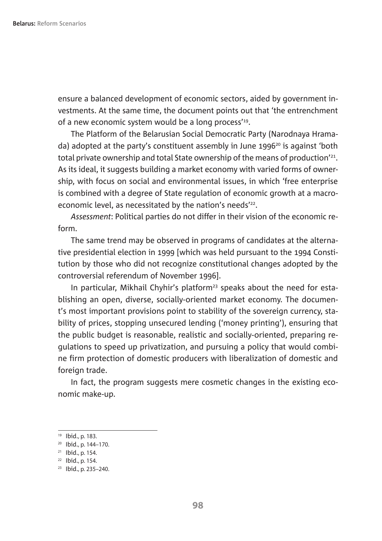ensure a balanced development of economic sectors, aided by government investments. At the same time, the document points out that 'the entrenchment of a new economic system would be a long process'<sup>19</sup>.

The Platform of the Belarusian Social Democratic Party (Narodnaya Hramada) adopted at the party's constituent assembly in June 1996 $^{20}$  is against 'both total private ownership and total State ownership of the means of production'21. As its ideal, it suggests building a market economy with varied forms of ownership, with focus on social and environmental issues, in which 'free enterprise is combined with a degree of State regulation of economic growth at a macroeconomic level, as necessitated by the nation's needs'<sup>22</sup>.

*Assessment*: Political parties do not differ in their vision of the economic reform.

The same trend may be observed in programs of candidates at the alternative presidential election in 1999 [which was held pursuant to the 1994 Constitution by those who did not recognize constitutional changes adopted by the controversial referendum of November 1996].

In particular, Mikhail Chyhir's platform<sup>23</sup> speaks about the need for establishing an open, diverse, socially-oriented market economy. The document's most important provisions point to stability of the sovereign currency, stability of prices, stopping unsecured lending ('money printing'), ensuring that the public budget is reasonable, realistic and socially-oriented, preparing regulations to speed up privatization, and pursuing a policy that would combine firm protection of domestic producers with liberalization of domestic and foreign trade.

In fact, the program suggests mere cosmetic changes in the existing economic make-up.

<sup>19</sup> Ibid., p. 183.

<sup>20</sup> Ibid., p. 144–170.

<sup>21</sup> Ibid., p. 154.

<sup>22</sup> Ibid., p. 154.

<sup>23</sup> Ibid., p. 235–240.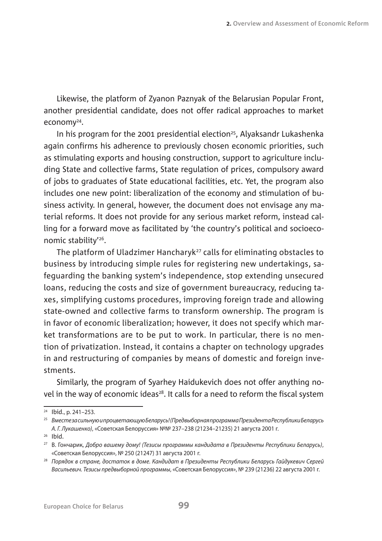Likewise, the platform of Zyanon Paznyak of the Belarusian Popular Front, another presidential candidate, does not offer radical approaches to market economy24.

In his program for the 2001 presidential election<sup>25</sup>, Alyaksandr Lukashenka again confirms his adherence to previously chosen economic priorities, such as stimulating exports and housing construction, support to agriculture including State and collective farms, State regulation of prices, compulsory award of jobs to graduates of State educational facilities, etc. Yet, the program also includes one new point: liberalization of the economy and stimulation of business activity. In general, however, the document does not envisage any material reforms. It does not provide for any serious market reform, instead calling for a forward move as facilitated by 'the country's political and socioeconomic stability'26.

The platform of Uladzimer Hancharyk<sup>27</sup> calls for eliminating obstacles to business by introducing simple rules for registering new undertakings, safeguarding the banking system's independence, stop extending unsecured loans, reducing the costs and size of government bureaucracy, reducing taxes, simplifying customs procedures, improving foreign trade and allowing state-owned and collective farms to transform ownership. The program is in favor of economic liberalization; however, it does not specify which market transformations are to be put to work. In particular, there is no mention of privatization. Instead, it contains a chapter on technology upgrades in and restructuring of companies by means of domestic and foreign investments.

Similarly, the program of Syarhey Haidukevich does not offer anything novel in the way of economic ideas<sup>28</sup>. It calls for a need to reform the fiscal system

<sup>26</sup> Ibid.

<sup>24</sup> Ibid., p. 241–253.

<sup>25</sup> Вместе за сильную и процветающую Беларусь! (Предвыборная программа Президента Республики Беларусь А. Г. Лукашенко), «Советская Белоруссия» №№ 237-238 (21234-21235) 21 августа 2001 г.

<sup>27</sup> В. Гончарик, Добро вашему дому! (Тезисы программы кандидата в Президенты Республики Беларусь), «Советская Белоруссия», № 250 (21247) 31 августа 2001 г.

<sup>&</sup>lt;sup>28</sup> Порядок в стране, достаток в доме. Кандидат в Президенты Республики Беларусь Гайдукевич Сергей Васильевич. Тезисы предвыборной программы, «Советская Белоруссия», № 239 (21236) 22 августа 2001 г.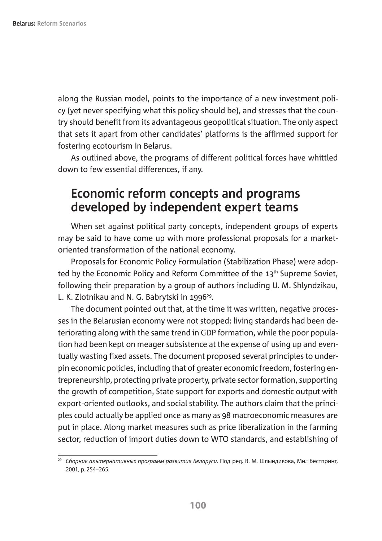along the Russian model, points to the importance of a new investment policy (yet never specifying what this policy should be), and stresses that the country should benefit from its advantageous geopolitical situation. The only aspect that sets it apart from other candidates' platforms is the affirmed support for fostering ecotourism in Belarus.

As outlined above, the programs of different political forces have whittled down to few essential differences, if any.

#### **Economic reform concepts and programs developed by independent expert teams**

When set against political party concepts, independent groups of experts may be said to have come up with more professional proposals for a marketoriented transformation of the national economy.

Proposals for Economic Policy Formulation (Stabilization Phase) were adopted by the Economic Policy and Reform Committee of the 13<sup>th</sup> Supreme Soviet, following their preparation by a group of authors including U. M. Shlyndzikau, L. K. Zlotnikau and N. G. Babrytski in 1996<sup>29</sup>.

The document pointed out that, at the time it was written, negative processes in the Belarusian economy were not stopped: living standards had been deteriorating along with the same trend in GDP formation, while the poor population had been kept on meager subsistence at the expense of using up and eventually wasting fixed assets. The document proposed several principles to underpin economic policies, including that of greater economic freedom, fostering entrepreneurship, protecting private property, private sector formation, supporting the growth of competition, State support for exports and domestic output with export-oriented outlooks, and social stability. The authors claim that the principles could actually be applied once as many as 98 macroeconomic measures are put in place. Along market measures such as price liberalization in the farming sector, reduction of import duties down to WTO standards, and establishing of

<sup>&</sup>lt;sup>29</sup> Сборник альтернативных программ развития Беларуси. Под ред. В. М. Шлындикова, Мн.: Бестпринт, 2001, p. 254–265.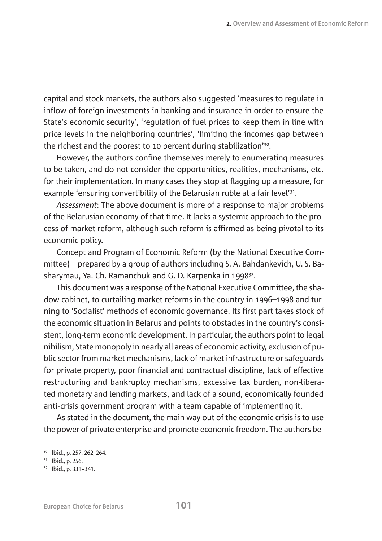capital and stock markets, the authors also suggested 'measures to regulate in inflow of foreign investments in banking and insurance in order to ensure the State's economic security', 'regulation of fuel prices to keep them in line with price levels in the neighboring countries', 'limiting the incomes gap between the richest and the poorest to 10 percent during stabilization'30.

However, the authors confine themselves merely to enumerating measures to be taken, and do not consider the opportunities, realities, mechanisms, etc. for their implementation. In many cases they stop at flagging up a measure, for example 'ensuring convertibility of the Belarusian ruble at a fair level'<sup>31</sup>.

*Assessment*: The above document is more of a response to major problems of the Belarusian economy of that time. It lacks a systemic approach to the process of market reform, although such reform is affirmed as being pivotal to its economic policy.

Concept and Program of Economic Reform (by the National Executive Committee) – prepared by a group of authors including S. A. Bahdankevich, U. S. Basharymau, Ya. Ch. Ramanchuk and G. D. Karpenka in 1998<sup>32</sup>.

This document was a response of the National Executive Committee, the shadow cabinet, to curtailing market reforms in the country in 1996–1998 and turning to 'Socialist' methods of economic governance. Its first part takes stock of the economic situation in Belarus and points to obstacles in the country's consistent, long-term economic development. In particular, the authors point to legal nihilism, State monopoly in nearly all areas of economic activity, exclusion of public sector from market mechanisms, lack of market infrastructure or safeguards for private property, poor financial and contractual discipline, lack of effective restructuring and bankruptcy mechanisms, excessive tax burden, non-liberated monetary and lending markets, and lack of a sound, economically founded anti-crisis government program with a team capable of implementing it.

As stated in the document, the main way out of the economic crisis is to use the power of private enterprise and promote economic freedom. The authors be-

<sup>30</sup> Ibid., p. 257, 262, 264.

<sup>31</sup> Ibid., p. 256.

<sup>32</sup> Ibid., p. 331–341.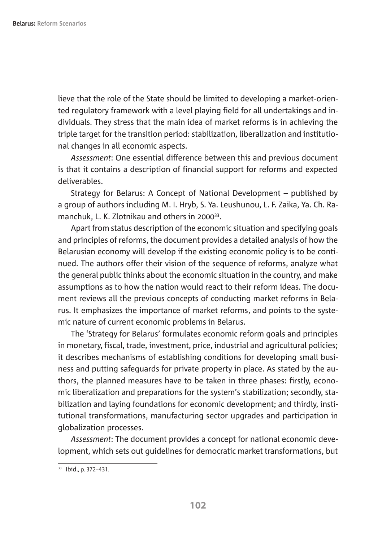lieve that the role of the State should be limited to developing a market-oriented regulatory framework with a level playing field for all undertakings and individuals. They stress that the main idea of market reforms is in achieving the triple target for the transition period: stabilization, liberalization and institutional changes in all economic aspects.

*Assessment*: One essential difference between this and previous document is that it contains a description of financial support for reforms and expected deliverables.

Strategy for Belarus: A Concept of National Development – published by a group of authors including M. I. Hryb, S. Ya. Leushunou, L. F. Zaika, Ya. Ch. Ramanchuk, L. K. Zlotnikau and others in 2000<sup>33</sup>.

Apart from status description of the economic situation and specifying goals and principles of reforms, the document provides a detailed analysis of how the Belarusian economy will develop if the existing economic policy is to be continued. The authors offer their vision of the sequence of reforms, analyze what the general public thinks about the economic situation in the country, and make assumptions as to how the nation would react to their reform ideas. The document reviews all the previous concepts of conducting market reforms in Belarus. It emphasizes the importance of market reforms, and points to the systemic nature of current economic problems in Belarus.

The 'Strategy for Belarus' formulates economic reform goals and principles in monetary, fiscal, trade, investment, price, industrial and agricultural policies; it describes mechanisms of establishing conditions for developing small business and putting safeguards for private property in place. As stated by the authors, the planned measures have to be taken in three phases: firstly, economic liberalization and preparations for the system's stabilization; secondly, stabilization and laying foundations for economic development; and thirdly, institutional transformations, manufacturing sector upgrades and participation in globalization processes.

*Assessment*: The document provides a concept for national economic development, which sets out guidelines for democratic market transformations, but

 $\overline{33}$  Ibid., p. 372–431.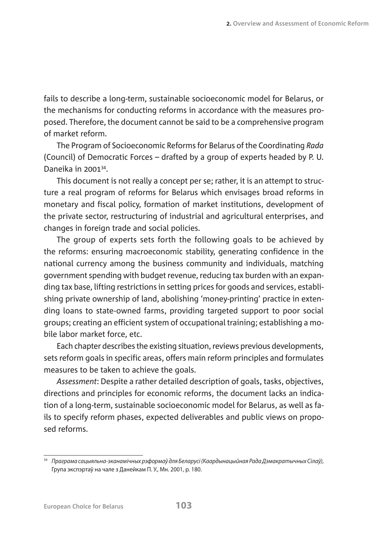fails to describe a long-term, sustainable socioeconomic model for Belarus, or the mechanisms for conducting reforms in accordance with the measures proposed. Therefore, the document cannot be said to be a comprehensive program of market reform.

The Program of Socioeconomic Reforms for Belarus of the Coordinating *Rada* (Council) of Democratic Forces – drafted by a group of experts headed by P. U. Daneika in 200134.

This document is not really a concept per se; rather, it is an attempt to structure a real program of reforms for Belarus which envisages broad reforms in monetary and fiscal policy, formation of market institutions, development of the private sector, restructuring of industrial and agricultural enterprises, and changes in foreign trade and social policies.

The group of experts sets forth the following goals to be achieved by the reforms: ensuring macroeconomic stability, generating confidence in the national currency among the business community and individuals, matching government spending with budget revenue, reducing tax burden with an expanding tax base, lifting restrictions in setting prices for goods and services, establishing private ownership of land, abolishing 'money-printing' practice in extending loans to state-owned farms, providing targeted support to poor social groups; creating an efficient system of occupational training; establishing a mobile labor market force, etc.

Each chapter describes the existing situation, reviews previous developments, sets reform goals in specific areas, offers main reform principles and formulates measures to be taken to achieve the goals.

*Assessment*: Despite a rather detailed description of goals, tasks, objectives, directions and principles for economic reforms, the document lacks an indication of a long-term, sustainable socioeconomic model for Belarus, as well as fails to specify reform phases, expected deliverables and public views on proposed reforms.

<sup>&</sup>lt;sup>34</sup> Праграма сацыяльна-эканамічных рэформаў для Беларусі (Каардынацыйная Рада Дэмакратычных Сілаў), Група экспэртаў на чале з Данейкам П. У., Мн. 2001, p. 180.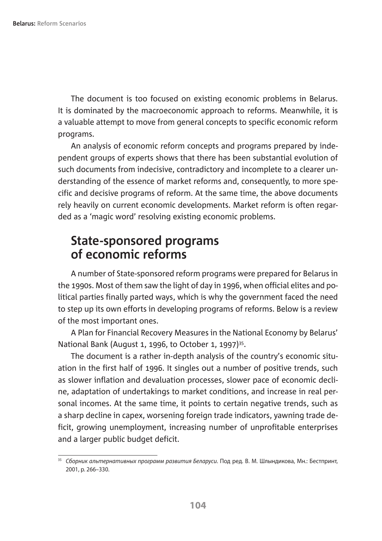The document is too focused on existing economic problems in Belarus. It is dominated by the macroeconomic approach to reforms. Meanwhile, it is a valuable attempt to move from general concepts to specific economic reform programs.

An analysis of economic reform concepts and programs prepared by independent groups of experts shows that there has been substantial evolution of such documents from indecisive, contradictory and incomplete to a clearer understanding of the essence of market reforms and, consequently, to more specific and decisive programs of reform. At the same time, the above documents rely heavily on current economic developments. Market reform is often regarded as a 'magic word' resolving existing economic problems.

#### **State-sponsored programs of economic reforms**

A number of State-sponsored reform programs were prepared for Belarus in the 1990s. Most of them saw the light of day in 1996, when official elites and political parties finally parted ways, which is why the government faced the need to step up its own efforts in developing programs of reforms. Below is a review of the most important ones.

A Plan for Financial Recovery Measures in the National Economy by Belarus' National Bank (August 1, 1996, to October 1, 1997)<sup>35</sup>.

The document is a rather in-depth analysis of the country's economic situation in the first half of 1996. It singles out a number of positive trends, such as slower inflation and devaluation processes, slower pace of economic decline, adaptation of undertakings to market conditions, and increase in real personal incomes. At the same time, it points to certain negative trends, such as a sharp decline in capex, worsening foreign trade indicators, yawning trade deficit, growing unemployment, increasing number of unprofitable enterprises and a larger public budget deficit.

<sup>&</sup>lt;sup>35</sup> Сборник альтернативных программ развития Беларуси. Под ред. В. М. Шлындикова, Мн.: Бестпринт, 2001, p. 266–330.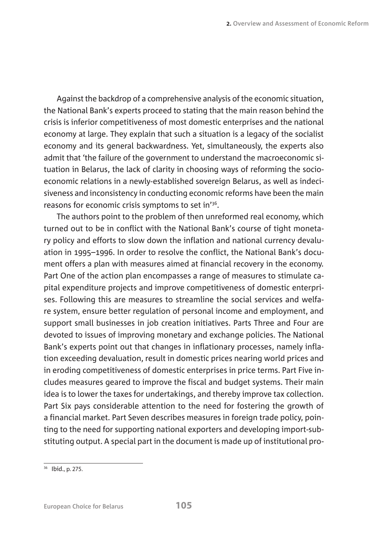Against the backdrop of a comprehensive analysis of the economic situation, the National Bank's experts proceed to stating that the main reason behind the crisis is inferior competitiveness of most domestic enterprises and the national economy at large. They explain that such a situation is a legacy of the socialist economy and its general backwardness. Yet, simultaneously, the experts also admit that 'the failure of the government to understand the macroeconomic situation in Belarus, the lack of clarity in choosing ways of reforming the socioeconomic relations in a newly-established sovereign Belarus, as well as indecisiveness and inconsistency in conducting economic reforms have been the main reasons for economic crisis symptoms to set in'36.

The authors point to the problem of then unreformed real economy, which turned out to be in conflict with the National Bank's course of tight monetary policy and efforts to slow down the inflation and national currency devaluation in 1995–1996. In order to resolve the conflict, the National Bank's document offers a plan with measures aimed at financial recovery in the economy. Part One of the action plan encompasses a range of measures to stimulate capital expenditure projects and improve competitiveness of domestic enterprises. Following this are measures to streamline the social services and welfare system, ensure better regulation of personal income and employment, and support small businesses in job creation initiatives. Parts Three and Four are devoted to issues of improving monetary and exchange policies. The National Bank's experts point out that changes in inflationary processes, namely inflation exceeding devaluation, result in domestic prices nearing world prices and in eroding competitiveness of domestic enterprises in price terms. Part Five includes measures geared to improve the fiscal and budget systems. Their main idea is to lower the taxes for undertakings, and thereby improve tax collection. Part Six pays considerable attention to the need for fostering the growth of a financial market. Part Seven describes measures in foreign trade policy, pointing to the need for supporting national exporters and developing import-substituting output. A special part in the document is made up of institutional pro-

 $36$  Ibid., p. 275.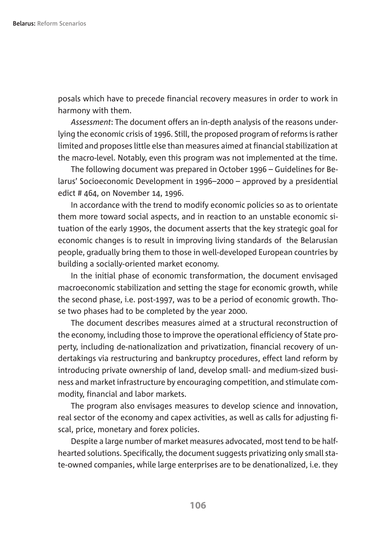posals which have to precede financial recovery measures in order to work in harmony with them.

*Assessment*: The document offers an in-depth analysis of the reasons underlying the economic crisis of 1996. Still, the proposed program of reforms is rather limited and proposes little else than measures aimed at financial stabilization at the macro-level. Notably, even this program was not implemented at the time.

The following document was prepared in October 1996 – Guidelines for Belarus' Socioeconomic Development in 1996–2000 – approved by a presidential edict # 464, on November 14, 1996.

In accordance with the trend to modify economic policies so as to orientate them more toward social aspects, and in reaction to an unstable economic situation of the early 1990s, the document asserts that the key strategic goal for economic changes is to result in improving living standards of the Belarusian people, gradually bring them to those in well-developed European countries by building a socially-oriented market economy.

In the initial phase of economic transformation, the document envisaged macroeconomic stabilization and setting the stage for economic growth, while the second phase, i.e. post-1997, was to be a period of economic growth. Those two phases had to be completed by the year 2000.

The document describes measures aimed at a structural reconstruction of the economy, including those to improve the operational efficiency of State property, including de-nationalization and privatization, financial recovery of undertakings via restructuring and bankruptcy procedures, effect land reform by introducing private ownership of land, develop small- and medium-sized business and market infrastructure by encouraging competition, and stimulate commodity, financial and labor markets.

The program also envisages measures to develop science and innovation, real sector of the economy and capex activities, as well as calls for adjusting fiscal, price, monetary and forex policies.

Despite a large number of market measures advocated, most tend to be halfhearted solutions. Specifically, the document suggests privatizing only small state-owned companies, while large enterprises are to be denationalized, i.e. they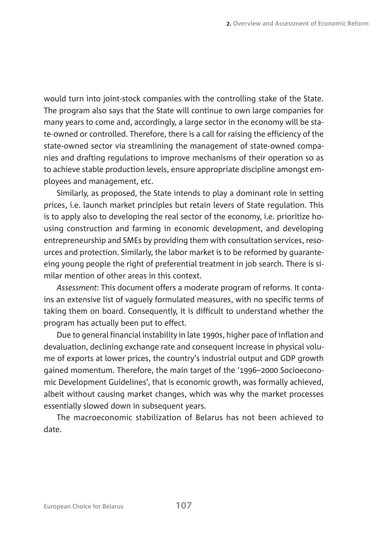would turn into joint-stock companies with the controlling stake of the State. The program also says that the State will continue to own large companies for many years to come and, accordingly, a large sector in the economy will be state-owned or controlled. Therefore, there is a call for raising the efficiency of the state-owned sector via streamlining the management of state-owned companies and drafting regulations to improve mechanisms of their operation so as to achieve stable production levels, ensure appropriate discipline amongst employees and management, etc.

Similarly, as proposed, the State intends to play a dominant role in setting prices, i.e. launch market principles but retain levers of State regulation. This is to apply also to developing the real sector of the economy, i.e. prioritize housing construction and farming in economic development, and developing entrepreneurship and SMEs by providing them with consultation services, resources and protection. Similarly, the labor market is to be reformed by guaranteeing young people the right of preferential treatment in job search. There is similar mention of other areas in this context.

*Assessment*: This document offers a moderate program of reforms. It contains an extensive list of vaguely formulated measures, with no specific terms of taking them on board. Consequently, it is difficult to understand whether the program has actually been put to effect.

Due to general financial instability in late 1990s, higher pace of inflation and devaluation, declining exchange rate and consequent increase in physical volume of exports at lower prices, the country's industrial output and GDP growth gained momentum. Therefore, the main target of the '1996–2000 Socioeconomic Development Guidelines', that is economic growth, was formally achieved, albeit without causing market changes, which was why the market processes essentially slowed down in subsequent years.

The macroeconomic stabilization of Belarus has not been achieved to date.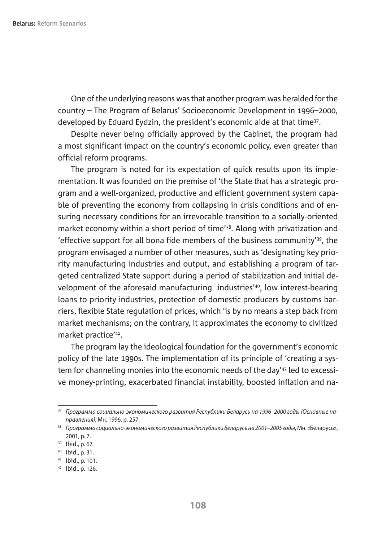One of the underlying reasons was that another program was heralded for the country – The Program of Belarus' Socioeconomic Development in 1996–2000, developed by Eduard Eydzin, the president's economic aide at that time<sup>37</sup>.

Despite never being officially approved by the Cabinet, the program had a most significant impact on the country's economic policy, even greater than official reform programs.

The program is noted for its expectation of quick results upon its implementation. It was founded on the premise of 'the State that has a strategic program and a well-organized, productive and efficient government system capable of preventing the economy from collapsing in crisis conditions and of ensuring necessary conditions for an irrevocable transition to a socially-oriented market economy within a short period of time'38. Along with privatization and 'effective support for all bona fide members of the business community'39, the program envisaged a number of other measures, such as 'designating key priority manufacturing industries and output, and establishing a program of targeted centralized State support during a period of stabilization and initial development of the aforesaid manufacturing industries'<sup>40</sup>, low interest-bearing loans to priority industries, protection of domestic producers by customs barriers, flexible State regulation of prices, which 'is by no means a step back from market mechanisms; on the contrary, it approximates the economy to civilized market practice'41.

The program lay the ideological foundation for the government's economic policy of the late 1990s. The implementation of its principle of 'creating a system for channeling monies into the economic needs of the day'42 led to excessive money-printing, exacerbated financial instability, boosted inflation and na-

<sup>37</sup> Программа социально-экономического развития Республики Беларусь на 1996–2000 годы (Основные направления), Мн. 1996, p. 257.

<sup>&</sup>lt;sup>38</sup> Программа социально-экономического развития Республики Беларусь на 2001–2005 годы, Мн. «Беларусь», 2001, p. 7.

<sup>39</sup> Ibid., p. 67

<sup>40</sup> Ibid., p. 31.

 $41$  Ibid., p. 101.

<sup>42</sup> Ibid., p. 126.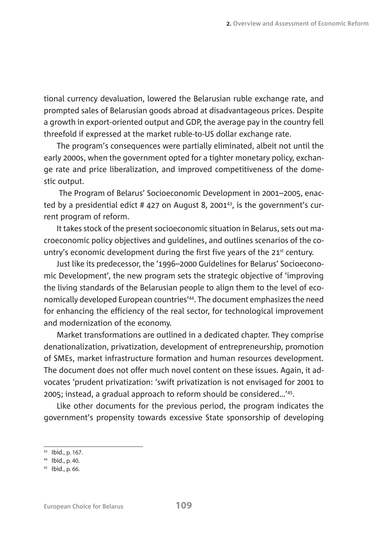tional currency devaluation, lowered the Belarusian ruble exchange rate, and prompted sales of Belarusian goods abroad at disadvantageous prices. Despite a growth in export-oriented output and GDP, the average pay in the country fell threefold if expressed at the market ruble-to-US dollar exchange rate.

The program's consequences were partially eliminated, albeit not until the early 2000s, when the government opted for a tighter monetary policy, exchange rate and price liberalization, and improved competitiveness of the domestic output.

 The Program of Belarus' Socioeconomic Development in 2001–2005, enacted by a presidential edict # 427 on August 8, 2001<sup>43</sup>, is the government's current program of reform.

It takes stock of the present socioeconomic situation in Belarus, sets out macroeconomic policy objectives and guidelines, and outlines scenarios of the country's economic development during the first five years of the  $21<sup>st</sup>$  century.

Just like its predecessor, the '1996–2000 Guidelines for Belarus' Socioeconomic Development', the new program sets the strategic objective of 'improving the living standards of the Belarusian people to align them to the level of economically developed European countries'44. The document emphasizes the need for enhancing the efficiency of the real sector, for technological improvement and modernization of the economy.

Market transformations are outlined in a dedicated chapter. They comprise denationalization, privatization, development of entrepreneurship, promotion of SMEs, market infrastructure formation and human resources development. The document does not offer much novel content on these issues. Again, it advocates 'prudent privatization: 'swift privatization is not envisaged for 2001 to 2005; instead, a gradual approach to reform should be considered…'45.

Like other documents for the previous period, the program indicates the government's propensity towards excessive State sponsorship of developing

<sup>43</sup> Ibid., p. 167.

<sup>44</sup> Ibid., p. 40.

<sup>45</sup> Ibid., p. 66.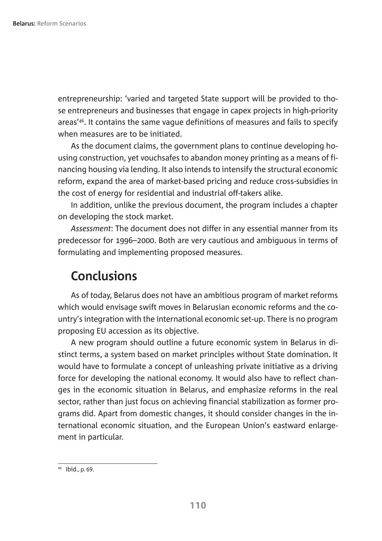entrepreneurship: 'varied and targeted State support will be provided to those entrepreneurs and businesses that engage in capex projects in high-priority areas'46. It contains the same vague definitions of measures and fails to specify when measures are to be initiated.

As the document claims, the government plans to continue developing housing construction, yet vouchsafes to abandon money printing as a means of financing housing via lending. It also intends to intensify the structural economic reform, expand the area of market-based pricing and reduce cross-subsidies in the cost of energy for residential and industrial off-takers alike.

In addition, unlike the previous document, the program includes a chapter on developing the stock market.

*Assessment*: The document does not differ in any essential manner from its predecessor for 1996–2000. Both are very cautious and ambiguous in terms of formulating and implementing proposed measures.

#### **Conclusions**

As of today, Belarus does not have an ambitious program of market reforms which would envisage swift moves in Belarusian economic reforms and the country's integration with the international economic set-up. There is no program proposing EU accession as its objective.

A new program should outline a future economic system in Belarus in distinct terms, a system based on market principles without State domination. It would have to formulate a concept of unleashing private initiative as a driving force for developing the national economy. It would also have to reflect changes in the economic situation in Belarus, and emphasize reforms in the real sector, rather than just focus on achieving financial stabilization as former programs did. Apart from domestic changes, it should consider changes in the international economic situation, and the European Union's eastward enlargement in particular.

<sup>46</sup> Ibid., p. 69.